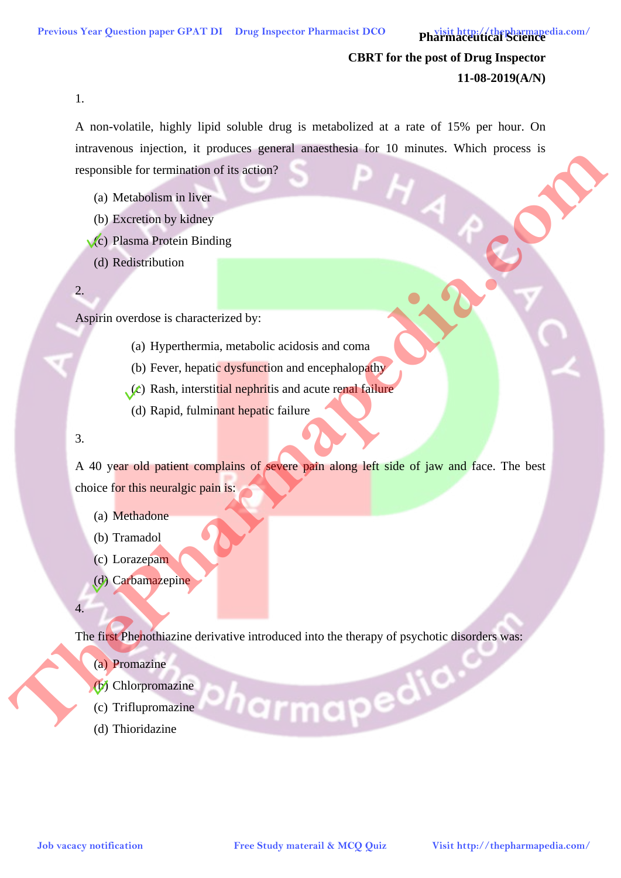**Pharmaceutical Science** 

# **CBRT for the post of Drug Inspector 11-08-2019(A/N)**

1.

A non-volatile, highly lipid soluble drug is metabolized at a rate of 15% per hour. On intravenous injection, it produces general anaesthesia for 10 minutes. Which process is responsible for termination of its action?

- (a) Metabolism in liver
- (b) Excretion by kidney
- (c) Plasma Protein Binding
- (d) Redistribution

2.

Aspirin overdose is characterized by:

- (a) Hyperthermia, metabolic acidosis and coma
- (b) Fever, hepatic dysfunction and encephalopathy
- $(c)$  Rash, interstitial nephritis and acute renal failure
	- (d) Rapid, fulminant hepatic failure
- 3.

A 40 year old patient complains of severe pain along left side of jaw and face. The best choice for this neuralgic pain is: **Job Mathematics**<br> **Job Mathematics of the communities of the study material of the study material of the study identity of the study interpret computer of the study of the study of the study of the study of the pharmapedi** 

- (a) Methadone
- (b) Tramadol
- (c) Lorazepam
- (d) Carbamazepine
- 4.

The first Phenothiazine derivative introduced into the therapy of psychotic disorders was:

- (a) Promazine
- (b) Chlorpromazine
- (c) Triflupromazine
- (d) Thioridazine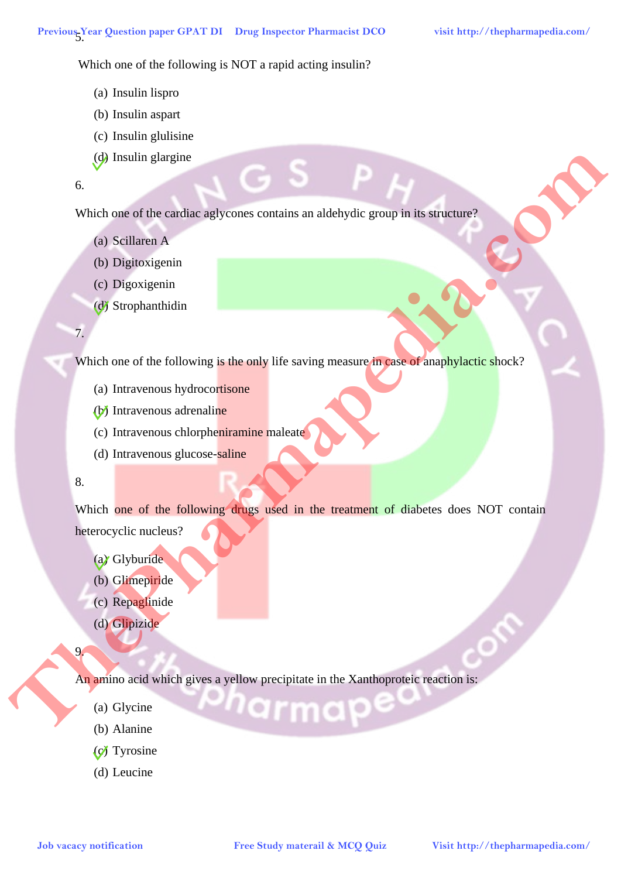Which one of the following is NOT a rapid acting insulin?

- (a) Insulin lispro
- (b) Insulin aspart
- (c) Insulin glulisine
- (d) Insulin glargine

# 6.

Which one of the cardiac aglycones contains an aldehydic group in its structure?

- (a) Scillaren A
- (b) Digitoxigenin
- (c) Digoxigenin
- (d) Strophanthidin

#### 7.

Which one of the following is the only life saving measure in case of anaphylactic shock?

- (a) Intravenous hydrocortisone
- (b) Intravenous adrenaline
- (c) Intravenous chlorpheniramine maleate
- (d) Intravenous glucose-saline

# 8.

9.

Which one of the following drugs used in the treatment of diabetes does NOT contain heterocyclic nucleus? **Job** Vacakin and the emidiac apply some consists an addeby disc group in this summary of the Scotlandian (d) Streetwarm in detection and the end of the study material and and the company of the Study of the Collaboration

- (a) Glyburide
- (b) Glimepiride
- (c) Repaglinide
- (d) Glipizide

An amino acid which gives a yellow precipitate in the Xanthoproteic reaction is:

- (a) Glycine
- (b) Alanine
- (c) Tyrosine
- (d) Leucine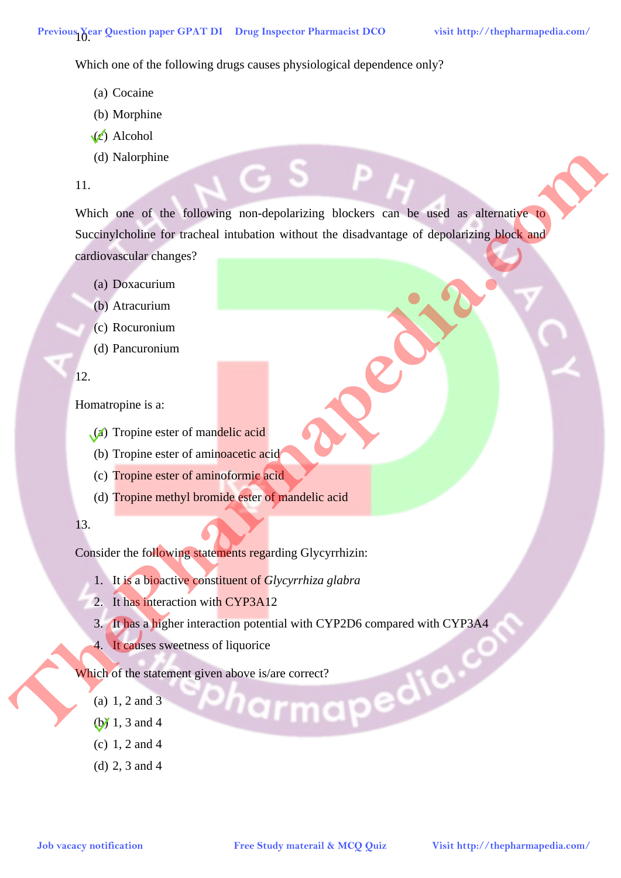Which one of the following drugs causes physiological dependence only?

- (a) Cocaine
- (b) Morphine
- $(c)$  Alcohol
- (d) Nalorphine
- 11.

Which one of the following non-depolarizing blockers can be used as alternative to Succinylcholine for tracheal intubation without the disadvantage of depolarizing block and cardiovascular changes? **Job vacacy distribution Free Study material and COVER** Study material and the distribution of the control in the control in the distribution of the control in the control in the control in the control in the control in

- (a) Doxacurium
- (b) Atracurium
- (c) Rocuronium
- (d) Pancuronium

# 12.

Homatropine is a:

- (a) Tropine ester of mandelic acid
- (b) Tropine ester of aminoacetic acid
- (c) Tropine ester of aminoformic acid
- (d) Tropine methyl bromide ester of mandelic acid

# 13.

Consider the following statements regarding Glycyrrhizin:

- 1. It is a bioactive constituent of *Glycyrrhiza glabra*
- 2. It has interaction with CYP3A12
- 3. It has a higher interaction potential with CYP2D6 compared with CYP3A4
- 4. It causes sweetness of liquorice

Which of the statement given above is/are correct?<br>
(a) 1, 2 and 3<br>
(b) 1, 3 and 4

- (a) 1, 2 and 3
- (b) 1, 3 and 4
- (c) 1, 2 and 4
- (d) 2, 3 and 4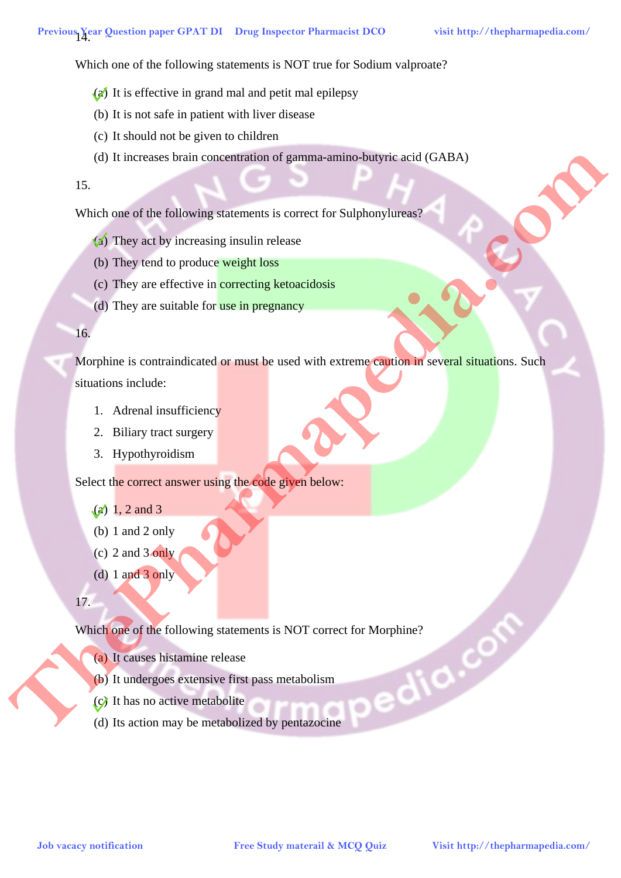Which one of the following statements is NOT true for Sodium valproate?

- (a) It is effective in grand mal and petit mal epilepsy
- (b) It is not safe in patient with liver disease
- (c) It should not be given to children
- (d) It increases brain concentration of gamma-amino-butyric acid (GABA)

## 15.

Which one of the following statements is correct for Sulphonylureas?

- (a) They act by increasing insulin release
- (b) They tend to produce weight loss
- (c) They are effective in correcting ketoacidosis
- (d) They are suitable for use in pregnancy

#### 16.

Morphine is contraindicated or must be used with extreme caution in several situations. Such situations include: **Job** vacance heat of the following statements is correct for Sulphranyliteral, <br> **Solution** the comparison is control in choice and the comparison of the Sulphranyliteral, <br> **Comparison to produce one of the comparison**<br>

- 1. Adrenal insufficiency
- 2. Biliary tract surgery
- 3. Hypothyroidism

Select the correct answer using the code given below:

- $(a)$  1, 2 and 3
- (b) 1 and 2 only
- (c) 2 and  $3$  only
- (d) 1 and 3 only
- 17.

Which one of the following statements is NOT correct for Morphine?<br>
(a) It causes histamine release<br>
(b) It undergoes extensive first pass metabolism<br>
(c) It has no active metabolite<br>
(d) Its action

- (a) It causes histamine release
- (b) It undergoes extensive first pass metabolism
- (c) It has no active metabolite
- (d) Its action may be metabolized by pentazocine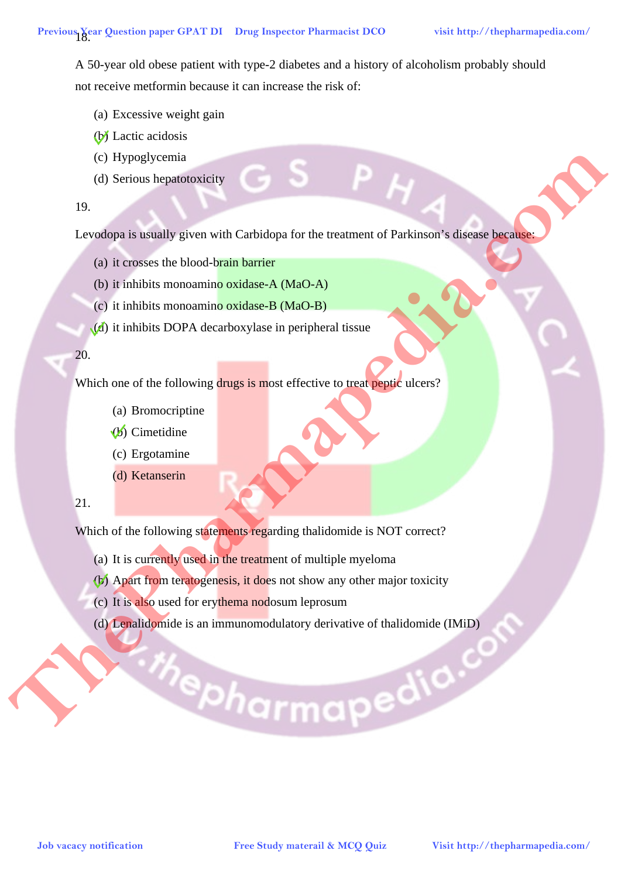A 50-year old obese patient with type-2 diabetes and a history of alcoholism probably should not receive metformin because it can increase the risk of:

- (a) Excessive weight gain
- (b) Lactic acidosis
- (c) Hypoglycemia
- (d) Serious hepatotoxicity

#### 19.

Levodopa is usually given with Carbidopa for the treatment of Parkinson's disease because: **Job Vacache Study in the Controller of the Controller Controller Study material Controller Study material Controller Study and the Controller Study material and Controller Study in the Controller Study of the Controller S** 

- (a) it crosses the blood-brain barrier
- (b) it inhibits monoamino oxidase-A (MaO-A)
- (c) it inhibits monoamino oxidase-B (MaO-B)
- (d) it inhibits DOPA decarboxylase in peripheral tissue

# 20.

Which one of the following drugs is most effective to treat peptic ulcers?

- (a) Bromocriptine
- (b) Cimetidine
- (c) Ergotamine
- (d) Ketanserin

# 21.

l,

Which of the following statements regarding thalidomide is NOT correct?

- (a) It is currently used in the treatment of multiple myeloma
- (b) Apart from teratogenesis, it does not show any other major toxicity
- (c) It is also used for erythema nodosum leprosum
- (d) Lenalidomide is an immunomodulatory derivative of thalidomide (IMiD)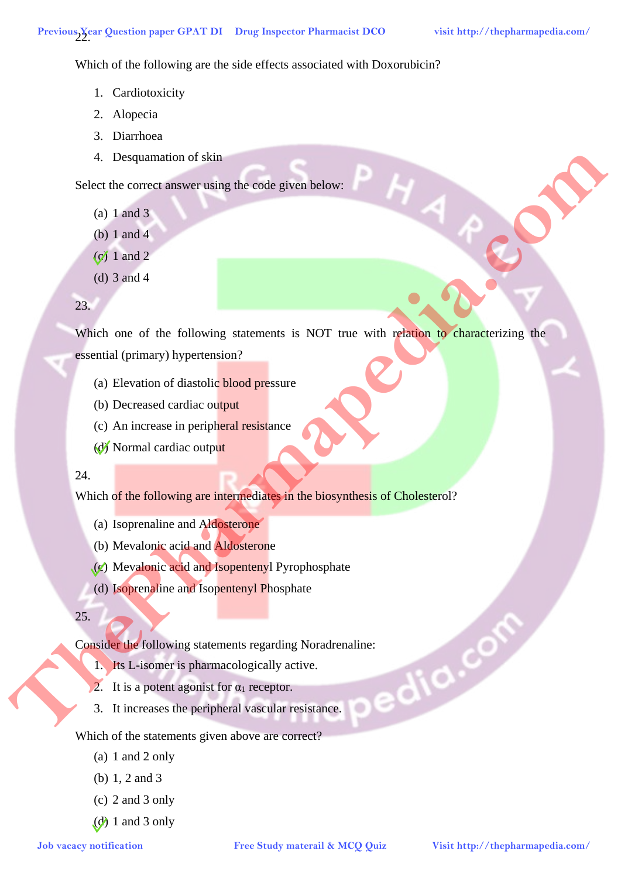Which of the following are the side effects associated with Doxorubicin?

- 1. Cardiotoxicity
- 2. Alopecia
- 3. Diarrhoea
- 4. Desquamation of skin

Select the correct answer using the code given below:

- (a) 1 and 3
- (b) 1 and 4
- $(c)$  1 and 2
- (d) 3 and 4

# 23.

Which one of the following statements is NOT true with relation to characterizing the essential (primary) hypertension? **Job vacacy notification Free Study material and Control in the Study material (primary hyperaxion?**<br> **Go I and 3**<br> **Co** (a) I and 4<br> **Co** (a) a small<br> **Co** (a) a small<br> **Co** (a) Beverind or distribute blood pressure<br> **C** 

- (a) Elevation of diastolic blood pressure
- (b) Decreased cardiac output
- (c) An increase in peripheral resistance
- (d) Normal cardiac output

# 24

Which of the following are intermediates in the biosynthesis of Cholesterol?

- (a) Isoprenaline and Aldosterone
- (b) Mevalonic acid and Aldosterone
- (c) Mevalonic acid and Isopentenyl Pyrophosphate
- (d) Isoprenaline and Isopentenyl Phosphate

#### 25.

Consider the following statements regarding Noradrenaline:<br>
1. Its L-isomer is pharmacologically active.<br>
2. It is a potent agonist for  $\alpha_1$  receptor.<br>
3. It increases the peripherence

- 1. Its L-isomer is pharmacologically active.
- 2. It is a potent agonist for  $\alpha_1$  receptor.
- 3. It increases the peripheral vascular resistance.

# Which of the statements given above are correct?

- (a) 1 and 2 only
- (b) 1, 2 and 3
- (c) 2 and 3 only
- $(d)$  1 and 3 only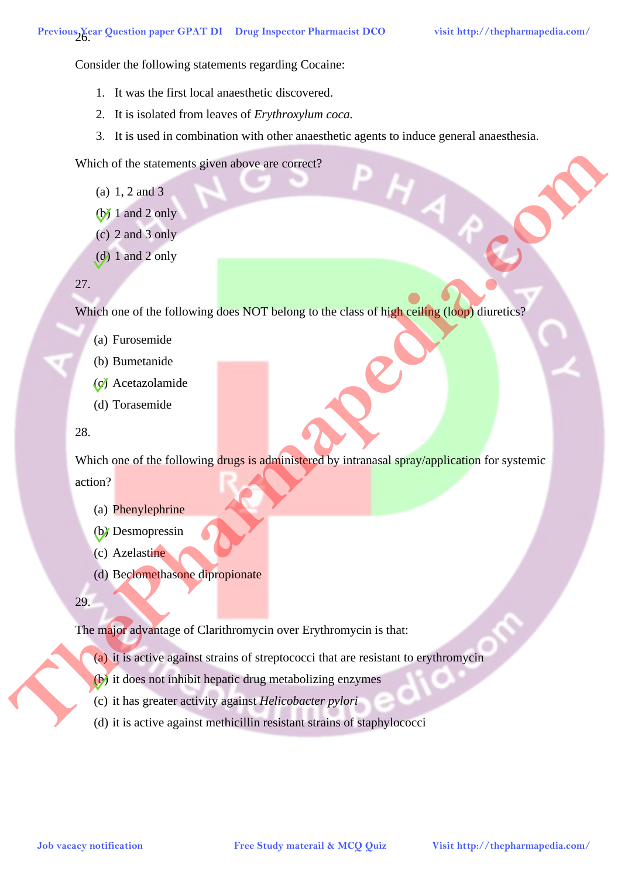Consider the following statements regarding Cocaine:

- 1. It was the first local anaesthetic discovered.
- 2. It is isolated from leaves of *Erythroxylum coca.*
- 3. It is used in combination with other anaesthetic agents to induce general anaesthesia.

Which of the statements given above are correct?

- (a) 1, 2 and 3
- $(b)$  1 and 2 only
- (c) 2 and 3 only
- $(d)$  1 and 2 only

## 27.

Which one of the following does NOT belong to the class of high ceiling (loop) diuretics?

- (a) Furosemide
- (b) Bumetanide
- (c) Acetazolamide
- (d) Torasemide

## 28.

Which one of the following drugs is administered by intranasal spray/application for systemic action? Which of the state and spin allows are connect?<br>
(b) 1.2 and 2 only<br>
(c) 2 and 2 only<br>
(c) 1 and 2 only<br>
(c) The state of the following does NOT belong to the of him evaluation of the<br>
22.<br>
Which one of the following thre

- (a) Phenylephrine
- (b) Desmopressin
- (c) Azelastine
- (d) Beclomethasone dipropionate

29.

The major advantage of Clarithromycin over Erythromycin is that:

- (a) it is active against strains of streptococci that are resistant to erythromycin
- (b) it does not inhibit hepatic drug metabolizing enzymes
- (c) it has greater activity against *Helicobacter pylori*
- (d) it is active against methicillin resistant strains of staphylococci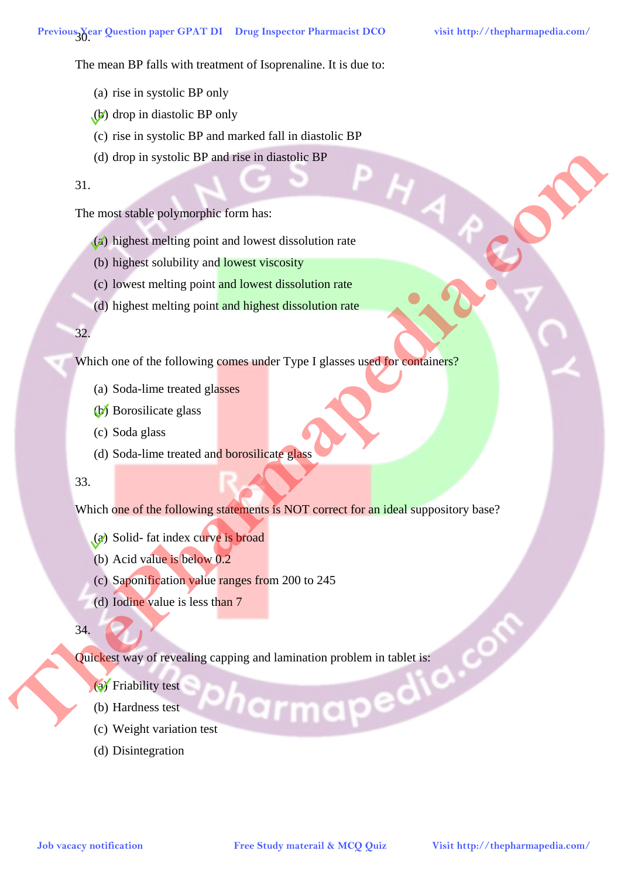The mean BP falls with treatment of Isoprenaline. It is due to:

- (a) rise in systolic BP only
- (b) drop in diastolic BP only
- (c) rise in systolic BP and marked fall in diastolic BP
- (d) drop in systolic BP and rise in diastolic BP

31.

The most stable polymorphic form has:

- (a) highest melting point and lowest dissolution rate
- (b) highest solubility and lowest viscosity
- (c) lowest melting point and lowest dissolution rate
- (d) highest melting point and highest dissolution rate

#### 32.

Which one of the following comes under Type I glasses used for containers?

- (a) Soda-lime treated glasses
- (b) Borosilicate glass
- (c) Soda glass
- (d) Soda-lime treated and borosilicate glass

#### 33.

Which one of the following statements is NOT correct for an ideal suppository base? **Job** Vacacy notification<br> **Job Vacachet methods provide formulates**<br> **Complex consider methods point and lowest dissolution rate**<br> **Co lines to show the considered Study material and the study material complex com/**<br> **Com** 

- (a) Solid- fat index curve is broad
- (b) Acid value is below 0.2
- (c) Saponification value ranges from 200 to 245
- (d) Iodine value is less than 7

34.

Quickest way of revealing capping and lamination problem in tablet is:<br>
(a) Friability test<br>
(b) Hardness test<br>
(c) Weight variation test

- (a) Friability test
- (b) Hardness test
- (c) Weight variation test
- (d) Disintegration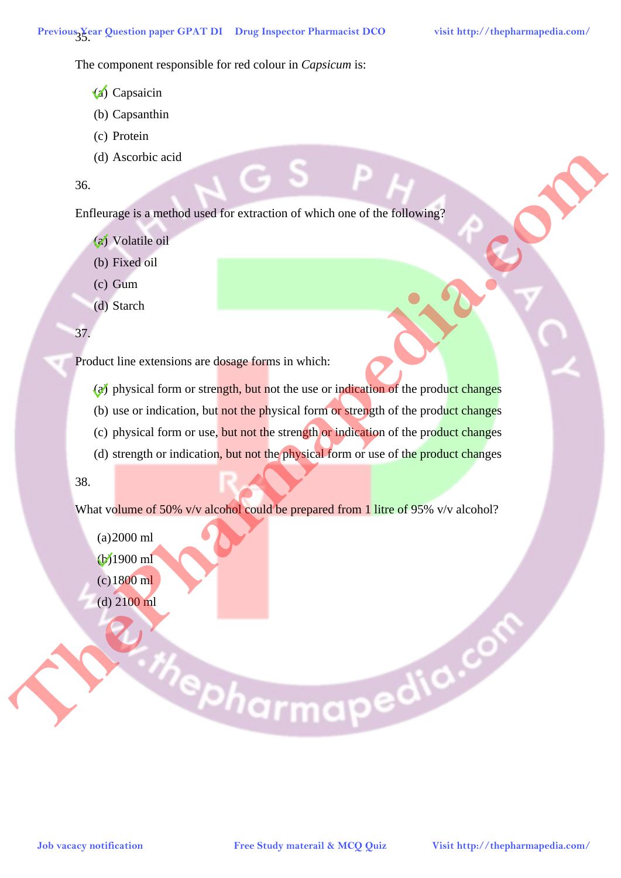The component responsible for red colour in *Capsicum* is:

- (a) Capsaicin
- (b) Capsanthin
- (c) Protein
- (d) Ascorbic acid
- 36.

Enfleurage is a method used for extraction of which one of the following?

- (a) Volatile oil
- (b) Fixed oil
- (c) Gum
- (d) Starch

# 37.

Product line extensions are dosage forms in which:

- $(a)$  physical form or strength, but not the use or indication of the product changes
- (b) use or indication, but not the physical form or strength of the product changes
- (c) physical form or use, but not the strength or indication of the product changes
- (d) strength or indication, but not the physical form or use of the product changes

# 38.

What volume of 50% v/v alcohol could be prepared from 1 litre of 95% v/v alcohol?

(a)2000 ml (b)1900 ml (c)1800 ml (d) 2100 ml

# **Job vacacy notification Free Study materail & MCQ Quiz Visit http://thepharmapedia.com/ ThePharmapedia.com**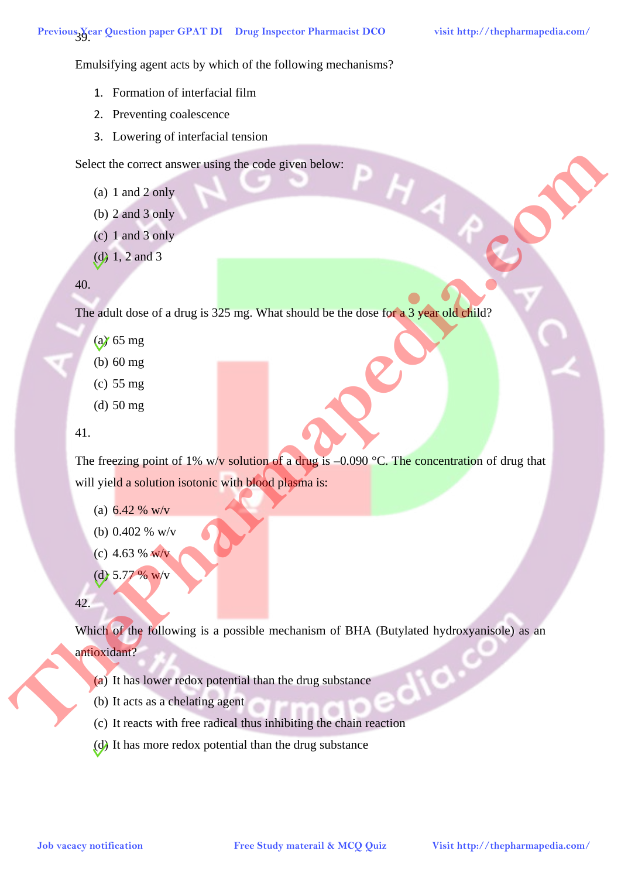Emulsifying agent acts by which of the following mechanisms?

- 1. Formation of interfacial film
- 2. Preventing coalescence
- 3. Lowering of interfacial tension

Select the correct answer using the code given below:

- (a) 1 and 2 only
- (b) 2 and 3 only
- (c) 1 and 3 only
- (d) 1, 2 and 3

#### 40.

The adult dose of a drug is 325 mg. What should be the dose for a 3 year old child?

- (a) 65 mg
- (b) 60 mg
- (c) 55 mg
- (d) 50 mg

## 41.

The freezing point of 1% w/v solution of a drug is  $-0.090$  °C. The concentration of drug that will yield a solution isotonic with blood plasma is:

- (a)  $6.42 \%$  w/v
- (b) 0.402 % w/v
- (c) 4.63 % w/v
- (d)  $5.77 \%$  w/v

#### 42.

Which of the following is a possible mechanism of BHA (Butylated hydroxyanisole) as an antioxidant? Select the correct narios of single booste promabilities the theology of the single probability (g)  $\frac{1}{2}$  and 3<br>
(b) 3.2 and 3 com/<br>
(c) 3.6 mg<br>
(d) 50 reg<br>
(d) 50 reg<br>
(d) 50 reg<br>
(d) 50 reg<br>
(d) 50 reg<br>
(d) 50 reg<br>

- (a) It has lower redox potential than the drug substance
- (b) It acts as a chelating agent
- (c) It reacts with free radical thus inhibiting the chain reaction
- (d) It has more redox potential than the drug substance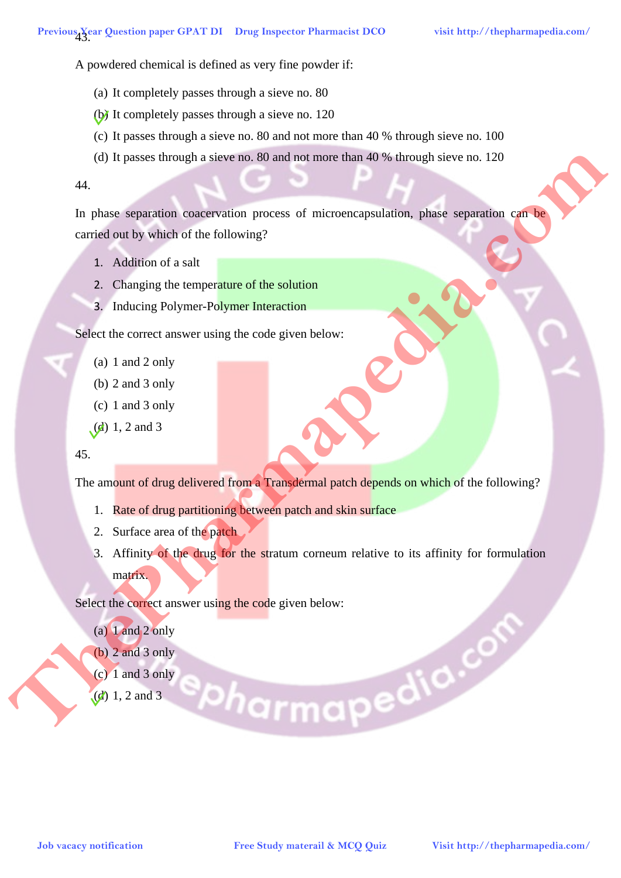A powdered chemical is defined as very fine powder if:

- (a) It completely passes through a sieve no. 80
- (b) It completely passes through a sieve no. 120
- (c) It passes through a sieve no. 80 and not more than 40 % through sieve no. 100
- (d) It passes through a sieve no. 80 and not more than 40 % through sieve no. 120

#### 44.

In phase separation coacervation process of microencapsulation, phase separation can be carried out by which of the following?

- 1. Addition of a salt
- 2. Changing the temperature of the solution
- 3. Inducing Polymer-Polymer Interaction

Select the correct answer using the code given below:

- (a) 1 and 2 only
- (b) 2 and 3 only
- (c) 1 and 3 only
- $(d)$  1, 2 and 3

#### 45.

The amount of drug delivered from a Transdermal patch depends on which of the following?

- 1. Rate of drug partitioning between patch and skin surface
- 2. Surface area of the patch
- 3. Affinity of the drug for the stratum corneum relative to its affinity for formulation matrix.

Select the correct answer using the code given below:

- $(a)$  1 and 2 only
- (b) 2 and 3 only
- (c) 1 and 3 only
- (d) 1, 2 and 3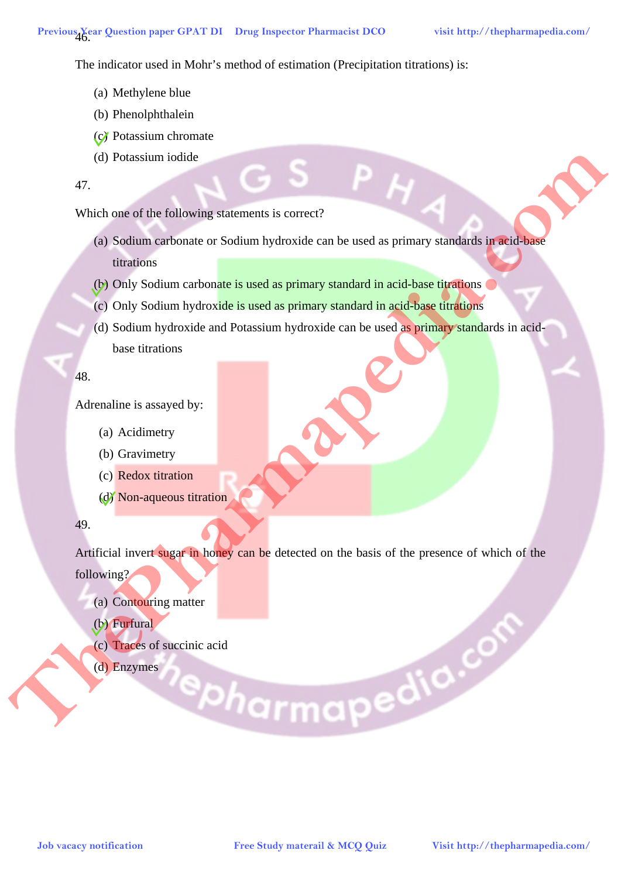The indicator used in Mohr's method of estimation (Precipitation titrations) is:

- (a) Methylene blue
- (b) Phenolphthalein
- (c) Potassium chromate
- (d) Potassium iodide

47.

Which one of the following statements is correct?

- (a) Sodium carbonate or Sodium hydroxide can be used as primary standards in acid-base titrations
- (b) Only Sodium carbonate is used as primary standard in acid-base titrations
- (c) Only Sodium hydroxide is used as primary standard in acid-base titrations
- (d) Sodium hydroxide and Potassium hydroxide can be used as primary standards in acidbase titrations

48.

Adrenaline is assayed by:

- (a) Acidimetry
- (b) Gravimetry
- (c) Redox titration
- (d) Non-aqueous titration

49.

Artificial invert sugar in honey can be detected on the basis of the presence of which of the following?

- (a) Contouring matter
- (b) Furfural
- (c) Traces of succinic acid **Job vacacy notification Free Study materail & MCQ Quiz Visit http://thepharmapedia.com/ ThePharmapedia.com**
	- (d) Enzymes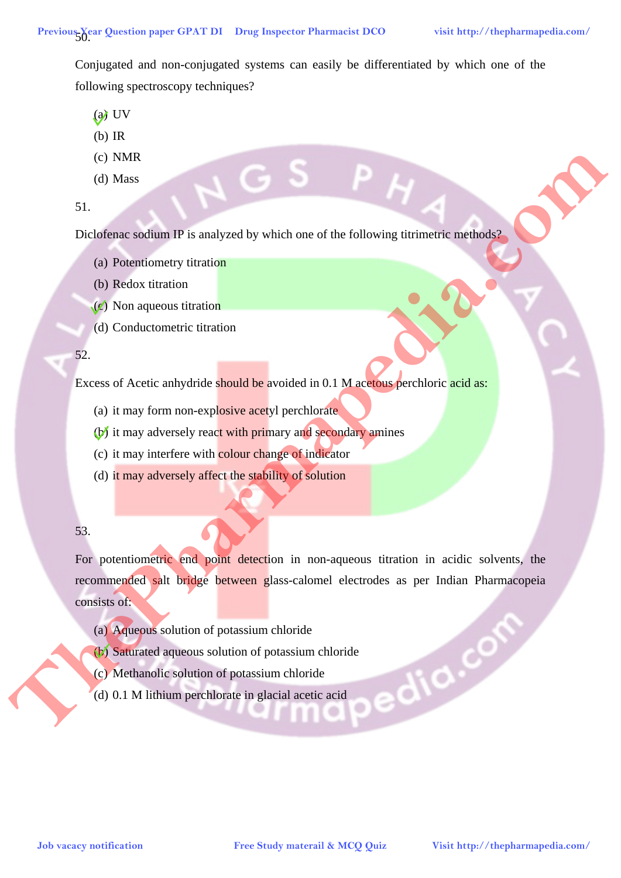Conjugated and non-conjugated systems can easily be differentiated by which one of the following spectroscopy techniques?

- $(a)$  UV
- (b) IR
- (c) NMR
- (d) Mass

51.

Diclofenac sodium IP is analyzed by which one of the following titrimetric methods?

- (a) Potentiometry titration
- (b) Redox titration
- $(c)$  Non aqueous titration
- (d) Conductometric titration

#### 52.

Excess of Acetic anhydride should be avoided in 0.1 M acetous perchloric acid as:

- (a) it may form non-explosive acetyl perchlorate
- (b) it may adversely react with primary and secondary amines
- (c) it may interfere with colour change of indicator
- (d) it may adversely affect the stability of solution

# 53.

For potentiometric end point detection in non-aqueous titration in acidic solvents, the recommended salt bridge between glass-calomel electrodes as per Indian Pharmacopeia consists of: **Job Vacacy notification Free Study material and the following distinctive materials of the Community continues of the Free Study material and Community distinction and Community material and the property of the study of** 

- (a) Aqueous solution of potassium chloride
- (b) Saturated aqueous solution of potassium chloride
- (c) Methanolic solution of potassium chloride
- (d) 0.1 M lithium perchlorate in glacial acetic acid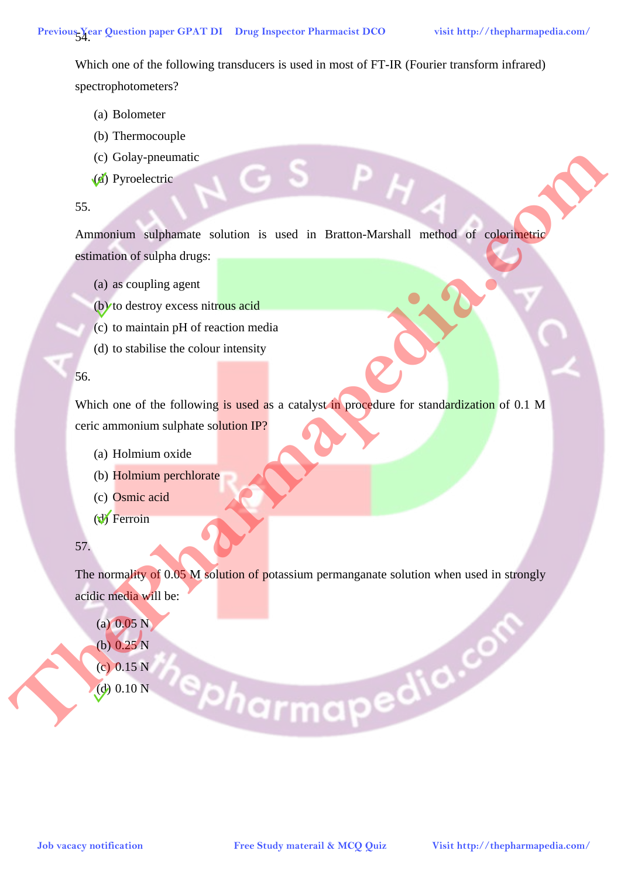Which one of the following transducers is used in most of FT-IR (Fourier transform infrared) spectrophotometers?

- (a) Bolometer
- (b) Thermocouple
- (c) Golay-pneumatic
- (d) Pyroelectric

## 55.

Ammonium sulphamate solution is used in Bratton-Marshall method of colorimetric estimation of sulpha drugs:

- (a) as coupling agent
- (b) to destroy excess nitrous acid
- (c) to maintain pH of reaction media
- (d) to stabilise the colour intensity

## 56.

Which one of the following is used as a catalyst in procedure for standardization of 0.1 M ceric ammonium sulphate solution IP?

- (a) Holmium oxide
- (b) Holmium perchlorate
- (c) Osmic acid
- (d) Ferroin

# 57.

The normality of 0.05 M solution of potassium permanganate solution when used in strongly acidic media will be:

- $(a)$  0.05 N
- (b) 0.25 N
- (c) 0.15 N
- (d)  $0.10 N$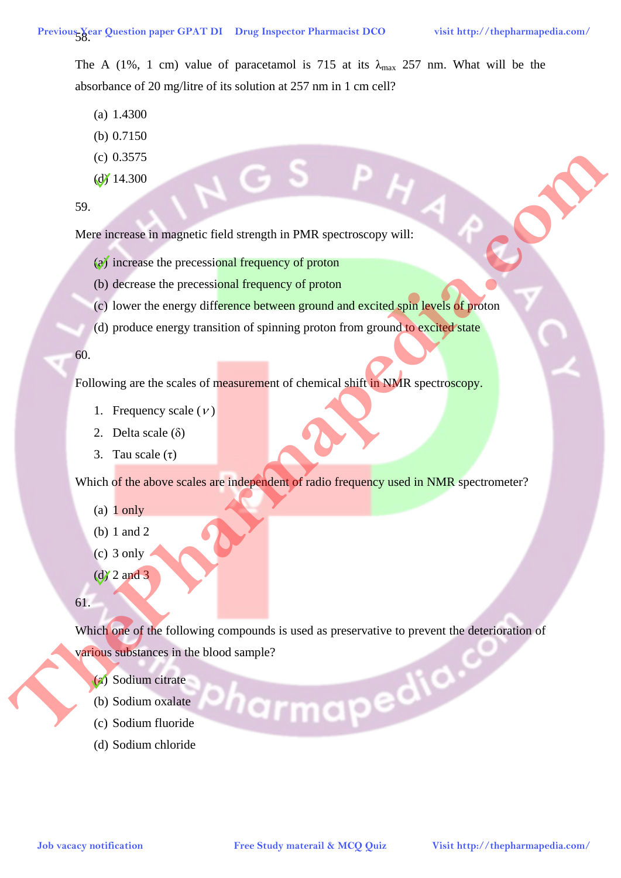The A (1%, 1 cm) value of paracetamol is 715 at its  $\lambda_{\text{max}}$  257 nm. What will be the absorbance of 20 mg/litre of its solution at 257 nm in 1 cm cell?

- (a) 1.4300
- (b) 0.7150
- (c) 0.3575
- $(d)$  14.300

59.

Mere increase in magnetic field strength in PMR spectroscopy will:

- (a) increase the precessional frequency of proton
- (b) decrease the precessional frequency of proton
- (c) lower the energy difference between ground and excited spin levels of proton
- (d) produce energy transition of spinning proton from ground to excited state

60.

Following are the scales of measurement of chemical shift in NMR spectroscopy.

- 1. Frequency scale  $(V)$
- 2. Delta scale (δ)
- 3. Tau scale  $(\tau)$

Which of the above scales are independent of radio frequency used in NMR spectrometer?

- (a) 1 only
- (b) 1 and 2
- $(c)$  3 only
- $\left(\frac{d}{2}\right)$  2 and 3

61.

Which one of the following compounds is used as preservative to prevent the deterioration of various substances in the blood sample? **Job vacacy notification Free Study material and Contact of The Study material Active Contact Study material and Contact Study of Protocom (c) Every the compy difference between ground and excited spin levels of protocom** 

- (a) Sodium citrate
- (b) Sodium oxalate
- (c) Sodium fluoride
- (d) Sodium chloride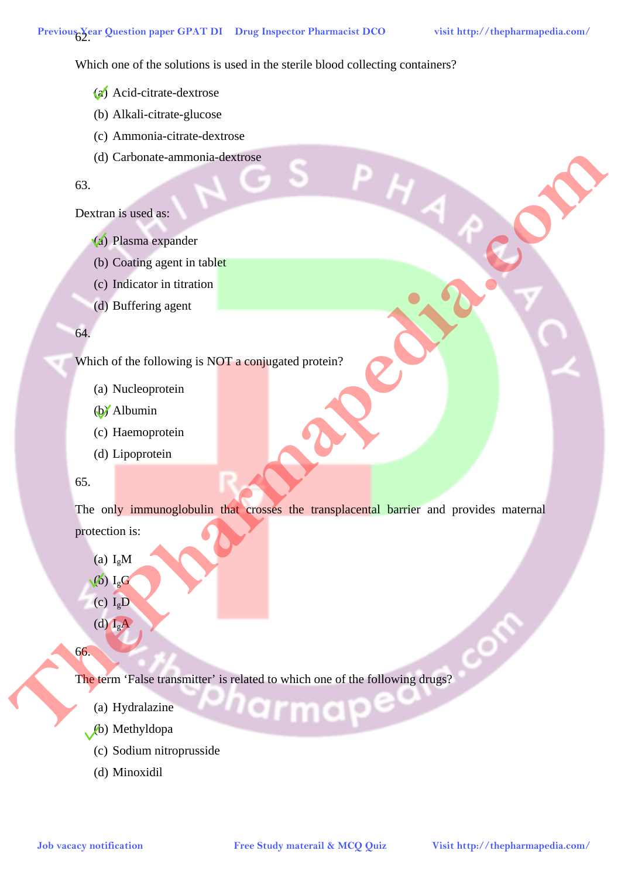Which one of the solutions is used in the sterile blood collecting containers?

- (a) Acid-citrate-dextrose
- (b) Alkali-citrate-glucose
- (c) Ammonia-citrate-dextrose
- (d) Carbonate-ammonia-dextrose

#### 63.

#### Dextran is used as:

- (a) Plasma expander
- (b) Coating agent in tablet
- (c) Indicator in titration
- (d) Buffering agent

#### 64.

Which of the following is NOT a conjugated protein?

- (a) Nucleoprotein
- (b) Albumin
- (c) Haemoprotein
- (d) Lipoprotein

#### 65.

The only immunoglobulin that crosses the transplacental barrier and provides maternal protection is: **Job** vacancy and the comparison of the comparison of the comparison of the comparison of the comparison of the solid service of the comparison of the comparison of the comparison of the comparison of the comparison of the

- (a)  $I_{\rm g}$ M
- $\sqrt{6}$ ) I<sub>g</sub>G
- (c)  $I_gD$
- (d)  $I_{\alpha}A$

66.

The term 'False transmitter' is related to which one of the following drugs?

- (a) Hydralazine
- (b) Methyldopa
	- (c) Sodium nitroprusside
	- (d) Minoxidil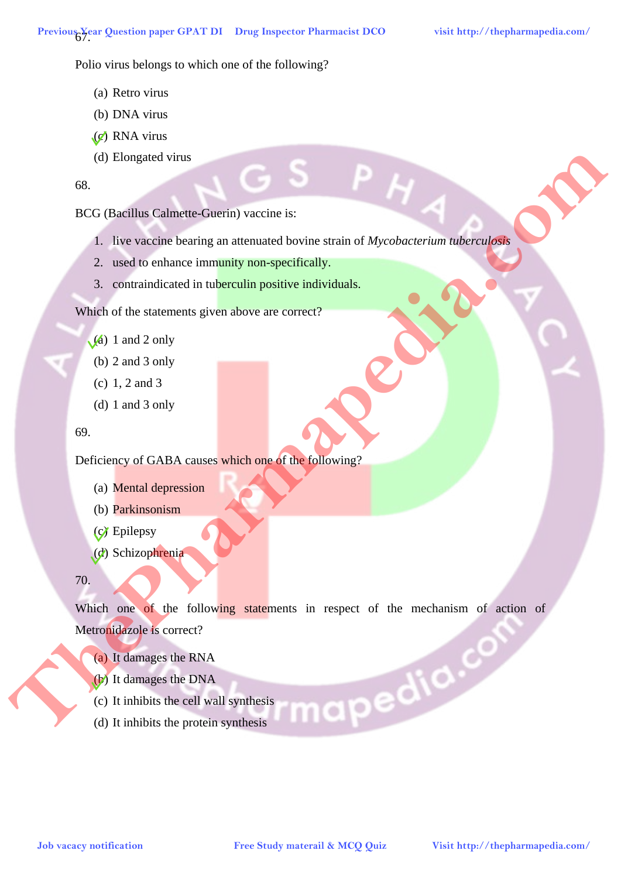Polio virus belongs to which one of the following?

- (a) Retro virus
- (b) DNA virus
- (c) RNA virus
- (d) Elongated virus

68.

BCG (Bacillus Calmette-Guerin) vaccine is:

- 1. live vaccine bearing an attenuated bovine strain of *Mycobacterium tuberculosis*
- 2. used to enhance immunity non-specifically.
- 3. contraindicated in tuberculin positive individuals.

Which of the statements given above are correct?

- $(a)$  1 and 2 only
	- (b) 2 and 3 only
	- (c) 1, 2 and 3
	- (d) 1 and 3 only

```
69.
```
Deficiency of GABA causes which one of the following?

- (a) Mental depression
- (b) Parkinsonism
- (c) Epilepsy
- (d) Schizophrenia

70.

Which one of the following statements in respect of the mechanism of action of Metronidazole is correct? **Job** Christines Calendric Committee Study and accounts of McCanoline and Association Committee Study materials and Association Committee Committee Committee Committee Committee Committee Committee Committee Committee Comm

- (a) It damages the RNA
- (b) It damages the DNA
- (c) It inhibits the cell wall synthesis
- (d) It inhibits the protein synthesis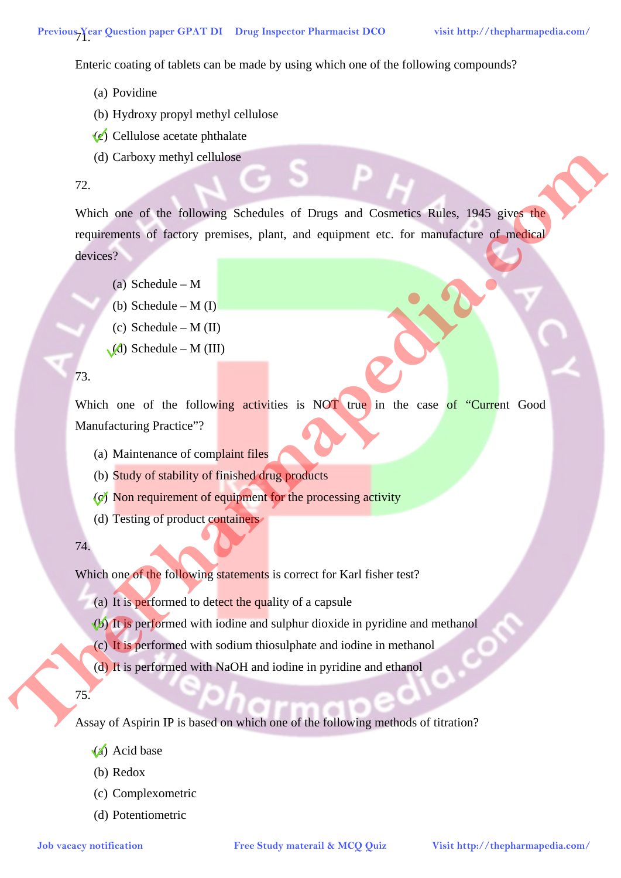Enteric coating of tablets can be made by using which one of the following compounds?

- (a) Povidine
- (b) Hydroxy propyl methyl cellulose
- $(c)$  Cellulose acetate phthalate
- (d) Carboxy methyl cellulose

## 72.

Which one of the following Schedules of Drugs and Cosmetics Rules, 1945 gives the requirements of factory premises, plant, and equipment etc. for manufacture of medical devices? (d) Carbox vactiv) cellulose<br>
The Visit of the following Schedules of Drags and Councilies Matin, 1943 grows<br>
recalizances of factory premises, plant, and equipment asc. for manufacture of gradual<br>
divisors?<br>
(b) Schedule

- (a) Schedule M
- (b) Schedule  $M(I)$
- (c) Schedule  $M$  (II)
- $(A)$  Schedule M (III)

#### 73.

Which one of the following activities is NOT true in the case of "Current Good Manufacturing Practice"?

- (a) Maintenance of complaint files
- (b) Study of stability of finished drug products
- (c) Non requirement of equipment for the processing activity
- (d) Testing of product containers

74.

Which one of the following statements is correct for Karl fisher test?

- (a) It is performed to detect the quality of a capsule
- (b) It is performed with iodine and sulphur dioxide in pyridine and methanol
- (c) It is performed with sodium thiosulphate and iodine in methanol
- (d) It is performed with NaOH and iodine in pyridine and ethanol

75.

Assay of Aspirin IP is based on which one of the following methods of titration?

- (a) Acid base
- (b) Redox
- (c) Complexometric
- (d) Potentiometric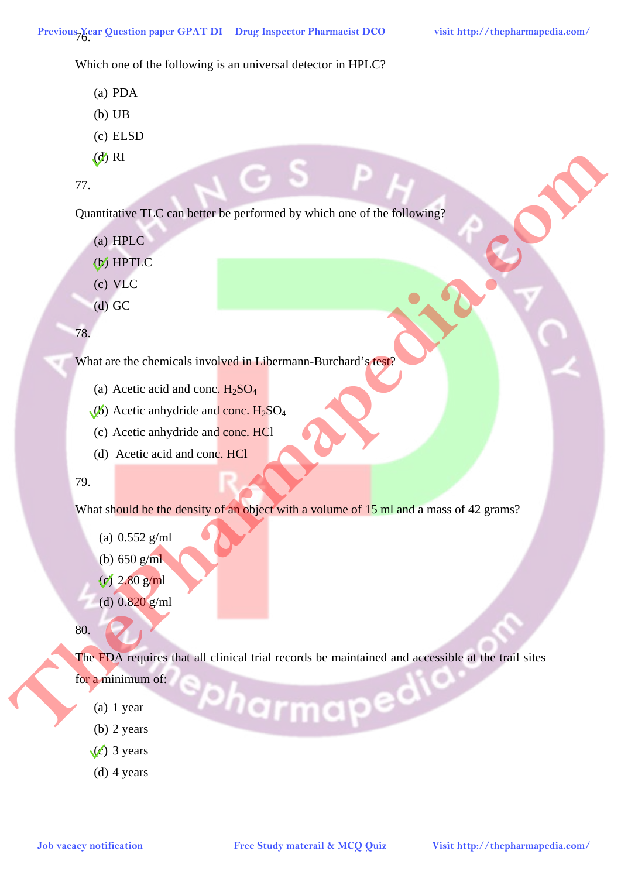Which one of the following is an universal detector in HPLC?

- (a) PDA
- (b) UB
- (c) ELSD
- $(d)$  RI
- 77.

Quantitative TLC can better be performed by which one of the following?

- (a) HPLC
- (b) HPTLC
- (c) VLC
- (d) GC

78.

What are the chemicals involved in Libermann-Burchard's test?

- (a) Acetic acid and conc.  $H_2SO_4$
- $(\cancel{b})$  Acetic anhydride and conc. H<sub>2</sub>SO<sub>4</sub>
- (c) Acetic anhydride and conc. HCl
- (d) Acetic acid and conc. HCl

#### 79.

What should be the density of an object with a volume of 15 ml and a mass of 42 grams?

- (a) 0.552 g/ml
- (b) 650 g/ml
- (c) 2.80 g/ml
- (d) 0.820 g/ml

80.

The FDA requires that all clinical trial records be maintained and accessible at the trail sites **Job** vacacy notification<br> **Job HERC**<br> **Job NETER**<br> **JOB VACC**<br> **JOB VACC**<br> **JOB VACC**<br> **JOB** Vacacia conditional involved in Liberance Burchard a expected and come. H<sub>35</sub>O<sub>4</sub><br> **Visit a development of the Pharmaps Developm** 

for a minimum of:

- (a) 1 year
- (b) 2 years
- $(c)$  3 years
- (d) 4 years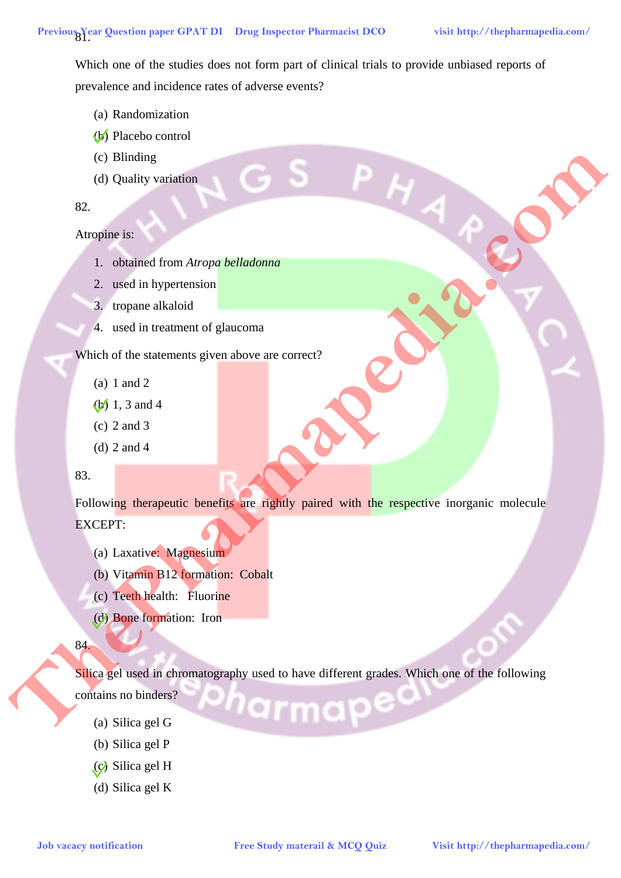Which one of the studies does not form part of clinical trials to provide unbiased reports of prevalence and incidence rates of adverse events?

- (a) Randomization
- (b) Placebo control
- (c) Blinding
- (d) Quality variation

## 82.

# Atropine is:

- 1. obtained from *Atropa belladonna*
- 2. used in hypertension
- 3. tropane alkaloid
- 4. used in treatment of glaucoma

Which of the statements given above are correct?

- (a) 1 and 2
- (b) 1, 3 and 4
- (c) 2 and 3
- (d) 2 and 4

### 83.

Following therapeutic benefits are rightly paired with the respective inorganic molecule EXCEPT: **Job Vacacity vacations**<br> **A**<br> **A**<br> **A** Are also included the animal for all harmonical of planomental glues above are compact<br> **A** a study in the studies of the animal spin above are compact<br> **A** a study of  $\frac{1}{2}$  and

- (a) Laxative: Magnesium
- (b) Vitamin B12 formation: Cobalt
- (c) Teeth health: Fluorine
- (d) Bone formation: Iron

# 84.

Silica gel used in chromatography used to have different grades. Which one of the following

- contains no binders?
	- (a) Silica gel G
	- (b) Silica gel P
	- (c) Silica gel H
	- (d) Silica gel K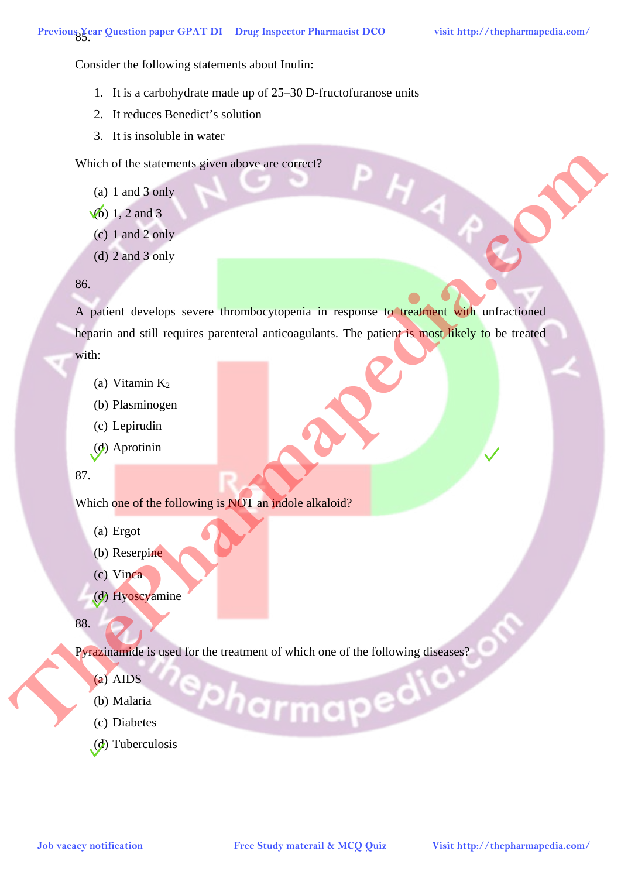Consider the following statements about Inulin:

- 1. It is a carbohydrate made up of 25–30 D-fructofuranose units
- 2. It reduces Benedict's solution
- 3. It is insoluble in water

Which of the statements given above are correct?

- (a) 1 and 3 only
- $(b)$  1, 2 and 3
- (c) 1 and 2 only
- (d) 2 and 3 only

#### 86.

A patient develops severe thrombocytopenia in response to treatment with unfractioned heparin and still requires parenteral anticoagulants. The patient is most likely to be treated with: Which of the statements given above are compact<br>
(a) I and 2 only a<br>
(c) I and 2 only a<br>
(c) 2 and 3 only a<br>
(c) 2 and 3 only a<br>
(a) Planta develops severe thromboxytopedia in response to graduate the anti-choice shapes w

- (a) Vitamin  $K<sub>2</sub>$
- (b) Plasminogen
- (c) Lepirudin
- (d) Aprotinin

87.

Which one of the following is NOT an indole alkaloid?

- (a) Ergot
- (b) Reserpine
- (c) Vinca
- (d) Hyoscyamine

88.

Pyrazinamide is used for the treatment of which one of the following diseases?

- (a) AIDS
- (b) Malaria
- (c) Diabetes
- (d) Tuberculosis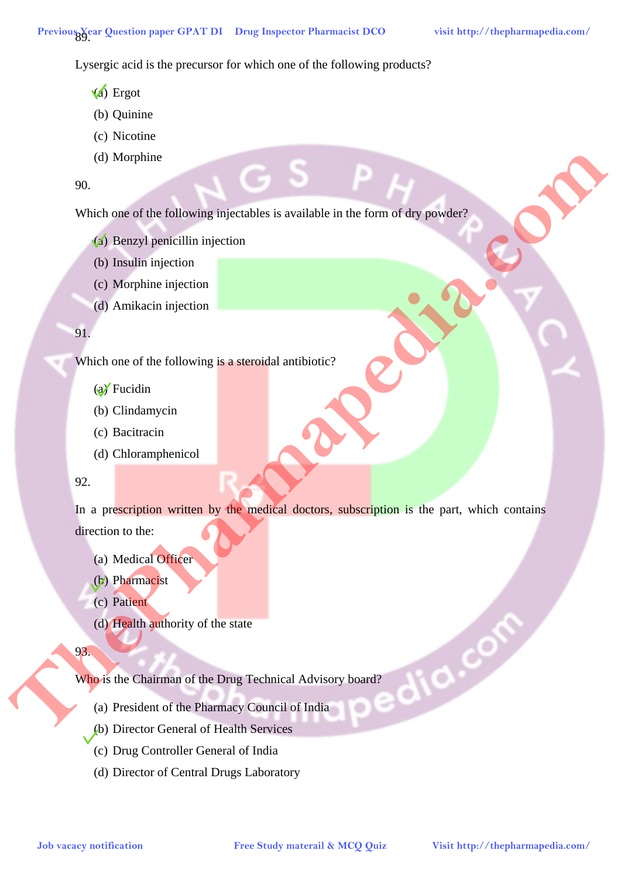Lysergic acid is the precursor for which one of the following products?

- (a) Ergot
- (b) Quinine
- (c) Nicotine
- (d) Morphine

# 90.

Which one of the following injectables is available in the form of dry powder?

- (a) Benzyl penicillin injection
- (b) Insulin injection
- (c) Morphine injection
- (d) Amikacin injection

# 91.

Which one of the following is a steroidal antibiotic?

# (a) Fucidin

- (b) Clindamycin
- (c) Bacitracin
- (d) Chloramphenicol

# 92.

In a prescription written by the medical doctors, subscription is the part, which contains direction to the: **Job** Benzyl againstitute interactions of the chiracteristic experimental and the communities of the communities of the communities of the communities of the communities of the communities of the communities of the Communi

- (a) Medical Officer
- (b) Pharmacist
- (c) Patient
- (d) Health authority of the state

# 93.

Who is the Chairman of the Drug Technical Advisory board?

- (a) President of the Pharmacy Council of India
- (b) Director General of Health Services
- (c) Drug Controller General of India
- (d) Director of Central Drugs Laboratory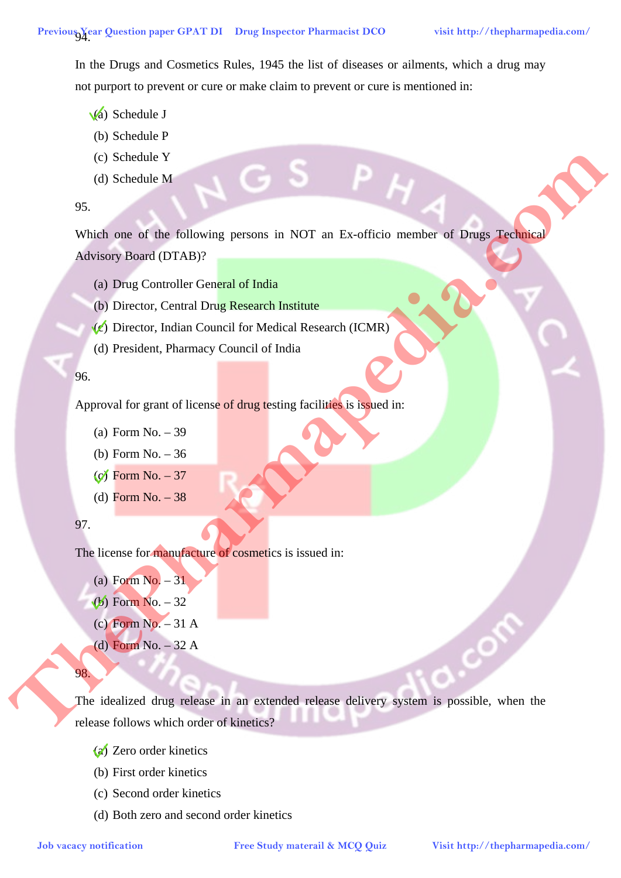In the Drugs and Cosmetics Rules, 1945 the list of diseases or ailments, which a drug may not purport to prevent or cure or make claim to prevent or cure is mentioned in:

- $\sqrt{a}$ ) Schedule J
- (b) Schedule P
- (c) Schedule Y
- (d) Schedule M

#### 95.

Which one of the following persons in NOT an Ex-officio member of Drugs Technical Advisory Board (DTAB)? **Job Studiers and the free Study material Study material Study material of the Study material Control Business Benefit (Control Control Control Control Control Control Control Control Control Control Control Control Contro** 

- (a) Drug Controller General of India
- (b) Director, Central Drug Research Institute
- $(c)$  Director, Indian Council for Medical Research (ICMR)
- (d) President, Pharmacy Council of India

## 96.

Approval for grant of license of drug testing facilities is issued in:

- (a) Form No. 39
- (b) Form No. 36
- $(c)$  Form No.  $-37$
- (d) Form No. 38

# 97.

The license for manufacture of cosmetics is issued in:

- (a) Form  $No. -31$
- $(b)$  Form No.  $-32$
- (c) Form No. 31 A
- (d) Form No. 32 A
- 98.

The idealized drug release in an extended release delivery system is possible, when the release follows which order of kinetics?

- (a) Zero order kinetics
- (b) First order kinetics
- (c) Second order kinetics
- (d) Both zero and second order kinetics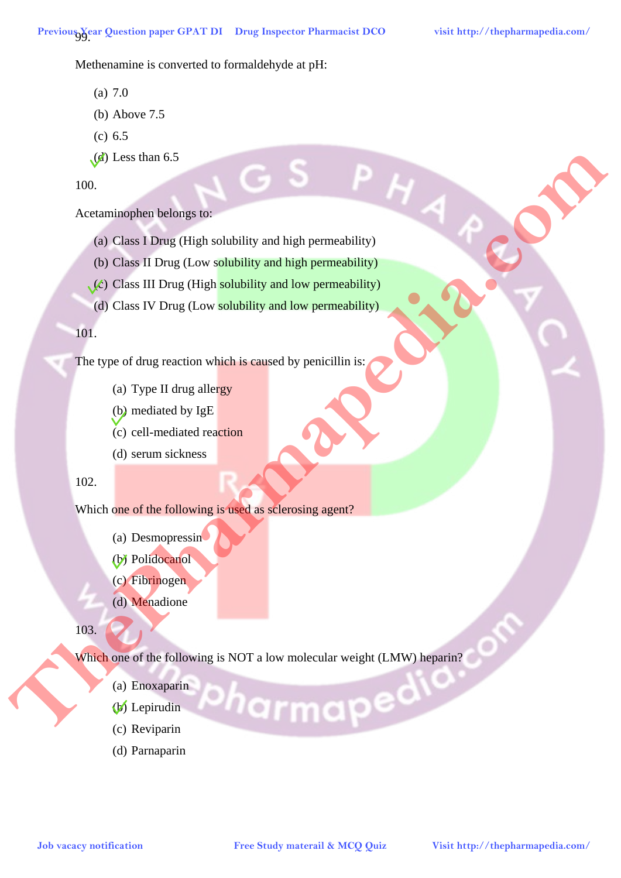Methenamine is converted to formaldehyde at pH:

- (a) 7.0
- (b) Above 7.5
- (c) 6.5
- $(d)$  Less than 6.5

100.

## Acetaminophen belongs to:

- (a) Class I Drug (High solubility and high permeability)
- (b) Class II Drug (Low solubility and high permeability)
- (c) Class III Drug (High solubility and low permeability)
- (d) Class IV Drug (Low solubility and low permeability)

#### 101.

The type of drug reaction which is caused by penicillin is:

- (a) Type II drug allergy
- (b) mediated by IgE
- (c) cell-mediated reaction
- (d) serum sickness

## 102.

#### Which one of the following is used as sclerosing agent?

- (a) Desmopressin
- (b) Polidocanol
- (c) Fibrinogen
- (d) Menadione

103.

Which one of the following is NOT a low molecular weight (LMW) heparin? **Job** vacation is the following interaction of the following material & MCQ Quiz <br> **Job Chas II Drug (Every solutility and hape promability)**<br> **Job Chas IV Drug (Lew solutility and how permeability)**<br> **Job** Chas IV Drug (L

- (a) Enoxaparin
- (b) Lepirudin
- (c) Reviparin
- (d) Parnaparin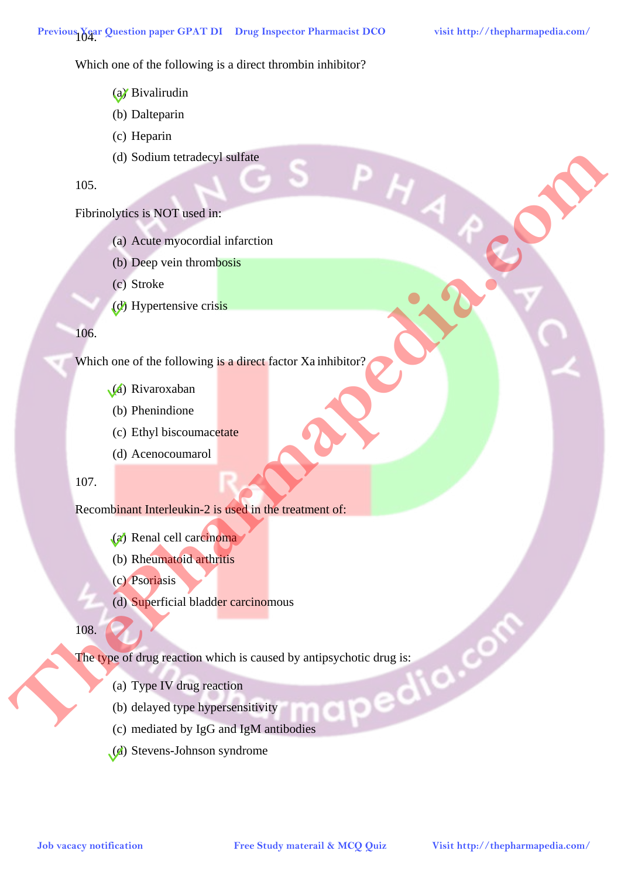Which one of the following is a direct thrombin inhibitor?

- (a) Bivalirudin
- (b) Dalteparin
- (c) Heparin
- (d) Sodium tetradecyl sulfate

105.

# Fibrinolytics is NOT used in:

- (a) Acute myocordial infarction
- (b) Deep vein thrombosis
- (c) Stroke
- (d) Hypertensive crisis

#### 106.

Which one of the following is a direct factor Xa inhibitor?

- (a) Rivaroxaban
- (b) Phenindione
- (c) Ethyl biscoumacetate
- (d) Acenocoumarol

#### 107.

#### Recombinant Interleukin-2 is used in the treatment of:

- (a) Renal cell carcinoma
- (b) Rheumatoid arthritis
- (c) Psoriasis
- (d) Superficial bladder carcinomous

108.

The type of drug reaction which is caused by antipsychotic drug is:<br>
(a) Type IV drug reaction<br>
(b) delayed type hypersencity **Job** Service Advise myses contain interaction<br> **Job** Assis myses contain interaction<br> **Job Respective through lines and there**<br> **Job** Service and the Collectivity is a direct fractor. **Ximilalization**<br> **Job** Which one of

- (a) Type IV drug reaction
- (b) delayed type hypersensitivity
- (c) mediated by IgG and IgM antibodies
- (d) Stevens-Johnson syndrome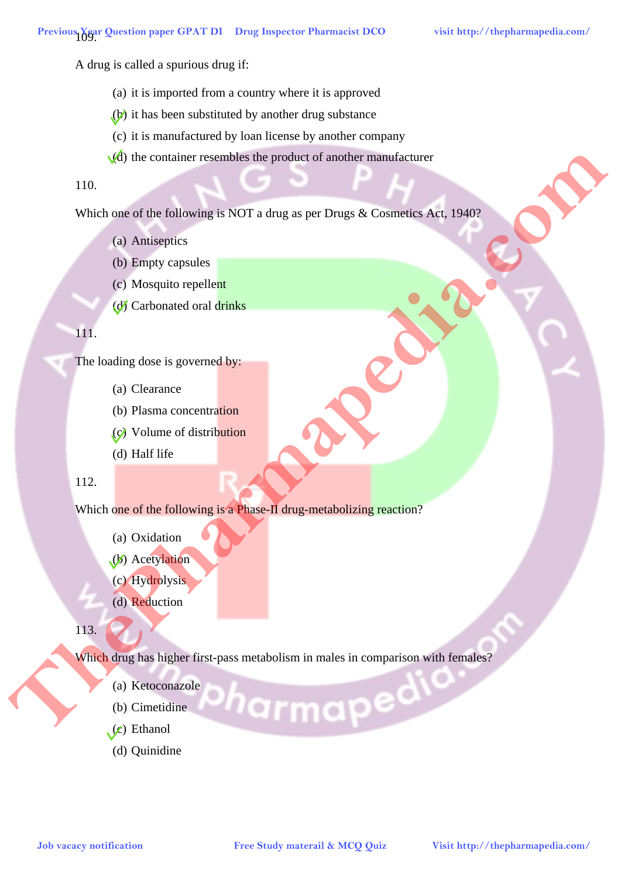A drug is called a spurious drug if:

- (a) it is imported from a country where it is approved
- (b) it has been substituted by another drug substance
- (c) it is manufactured by loan license by another company
- $\sqrt{d}$ ) the container resembles the product of another manufacturer

# 110.

Which one of the following is NOT a drug as per Drugs & Cosmetics Act, 1940?

- (a) Antiseptics
- (b) Empty capsules
- (c) Mosquito repellent
- (d) Carbonated oral drinks

# 111.

The loading dose is governed by:

- (a) Clearance
- (b) Plasma concentration
- (c) Volume of distribution
- (d) Half life

# 112.

Which one of the following is a Phase-II drug-metabolizing reaction?

- (a) Oxidation
- (b) Acetylation
- (c) Hydrolysis
- (d) Reduction

113.

Which drug has higher first-pass metabolism in males in comparison with females? **Job** vacantized the following is NOT a drug as per Drugs. & Cournities, New 1987<br> **FREE United the following is NOT a drug as per Drugs. & Cournities, New 1987<br>
FREE United to the following the spectra of the following th** 

- (a) Ketoconazole
- (b) Cimetidine
- $(c)$  Ethanol
- (d) Quinidine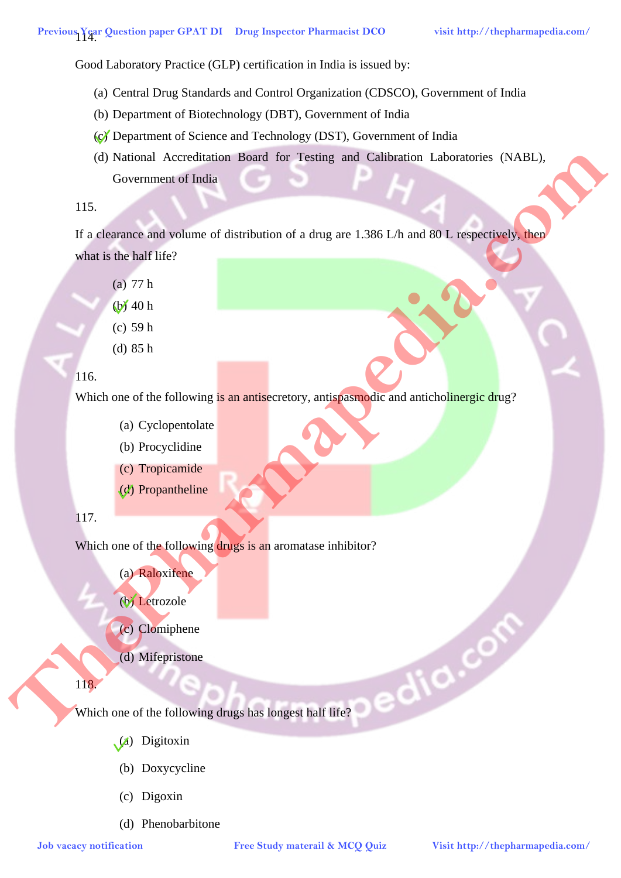Good Laboratory Practice (GLP) certification in India is issued by:

- (a) Central Drug Standards and Control Organization (CDSCO), Government of India
- (b) Department of Biotechnology (DBT), Government of India
- (c) Department of Science and Technology (DST), Government of India
- (d) National Accreditation Board for Testing and Calibration Laboratories (NABL), Government of India **Job National Association**<br> **Job vacacy and variance of distribution of a drag are 1.386 LA) and 50 L, expectingly and<br>**  $\mu$  **Study materials and the Collowing is an antisected<br>
<b>Job** (a) SP and the Pharmapedia.com/<br> **Job**

#### 115.

If a clearance and volume of distribution of a drug are 1.386 L/h and 80 L respectively, then what is the half life?

- (a) 77 h
- $(b)$  40 h
- (c) 59 h
- (d) 85 h

# 116.

Which one of the following is an antisecretory, antispasmodic and anticholinergic drug?

- (a) Cyclopentolate
- (b) Procyclidine
- (c) Tropicamide
- (d) Propantheline

# 117.

Which one of the following drugs is an aromatase inhibitor?

- (a) Raloxifene
- (b) Letrozole
- (c) Clomiphene
- (d) Mifepristone

# 118.

Which one of the following drugs has longest half life?

- (a) Digitoxin
- (b) Doxycycline
- (c) Digoxin
- (d) Phenobarbitone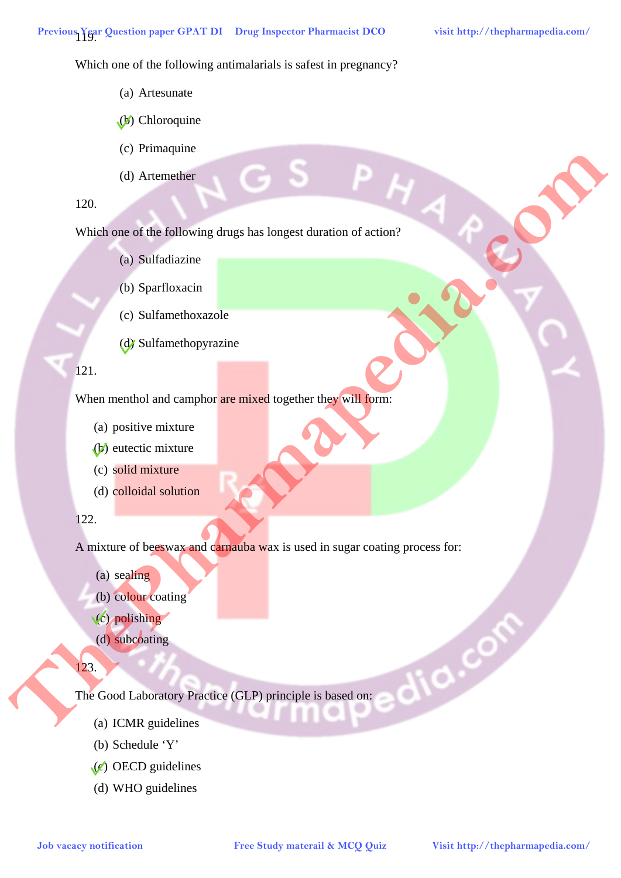Which one of the following antimalarials is safest in pregnancy?

- (a) Artesunate
- $(b)$  Chloroquine
- (c) Primaquine
- (d) Artemether

# 120.

Which one of the following drugs has longest duration of action?

- (a) Sulfadiazine
- (b) Sparfloxacin
- (c) Sulfamethoxazole
- (d) Sulfamethopyrazine

# 121.

When menthol and camphor are mixed together they will form:

- (a) positive mixture
- (b) eutectic mixture
- (c) solid mixture
- (d) colloidal solution

# 122.

A mixture of beeswax and carnauba wax is used in sugar coating process for: **Job** vacancies of the following drugs has longer duration of action?<br> **Job** vacancies of the following drugs has longer duration of action?<br> **Com/ Studies action**<br> **Com/ Studies action**<br> **Com/ Com/ Com/ Com/ C** 

- (a) sealing
- (b) colour coating
- (c) polishing
- (d) subcoating

# 123.

The Good Laboratory Practice (GLP) principle is based on:

- (a) ICMR guidelines
- (b) Schedule 'Y'
- $(e)$  OECD guidelines
- (d) WHO guidelines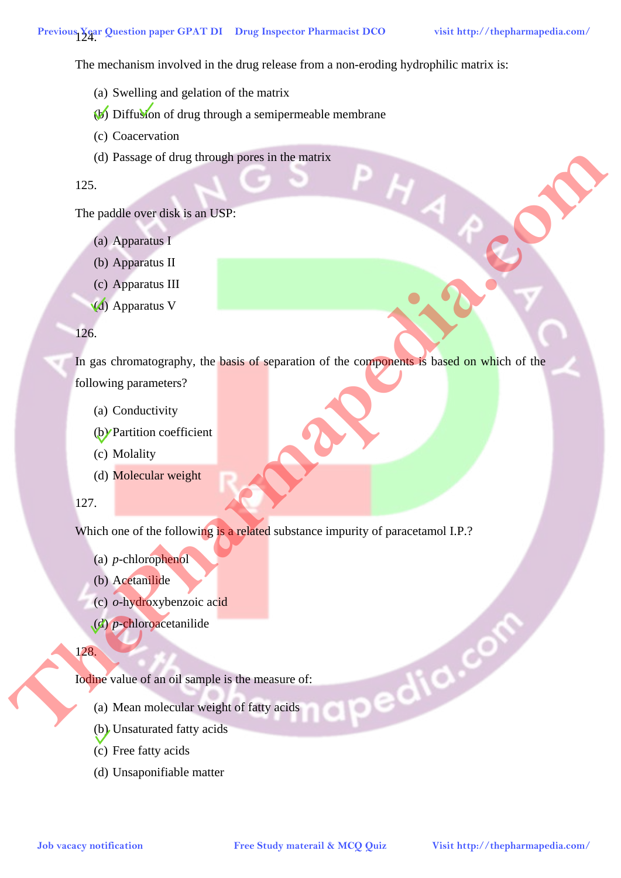The mechanism involved in the drug release from a non-eroding hydrophilic matrix is:

- (a) Swelling and gelation of the matrix
- (b) Diffusion of drug through a semipermeable membrane
- (c) Coacervation
- (d) Passage of drug through pores in the matrix

#### 125.

The paddle over disk is an USP:

- (a) Apparatus I
- (b) Apparatus II
- (c) Apparatus III
- (d) Apparatus V

#### 126.

In gas chromatography, the basis of separation of the components is based on which of the following parameters? (d) Passing of their linear in Free Study material **Free Study material**  $\theta$ <br>
The partition of the Napoleon BT<br>
(c) Appearant II<br>
(c) Appearant II<br>
(c) Appearant II<br>
(c) Appearant IV<br>
(c) Appearant IV<br>
(c) Appearant IV<br>

- (a) Conductivity
- (b) Partition coefficient
- (c) Molality
- (d) Molecular weight

# 127.

Which one of the following is a related substance impurity of paracetamol I.P.?

- (a) *p*-chlorophenol
- (b) Acetanilide
- (c) *o*-hydroxybenzoic acid
- (d) *p*-chloroacetanilide

#### 128.

Iodine value of an oil sample is the measure of:

- (a) Mean molecular weight of fatty acids
- (b) Unsaturated fatty acids
- (c) Free fatty acids
- (d) Unsaponifiable matter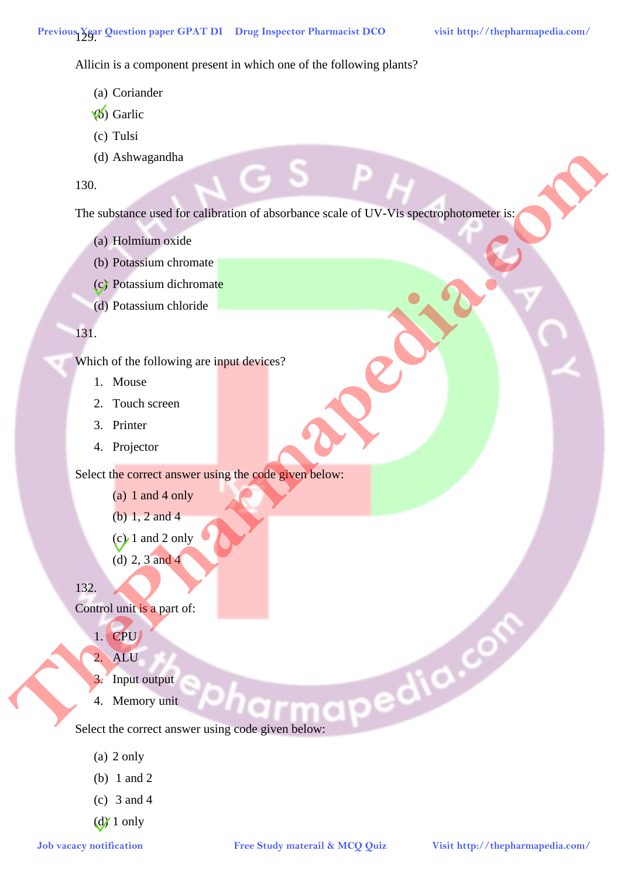Allicin is a component present in which one of the following plants?

- (a) Coriander
- (b) Garlic
- (c) Tulsi
- (d) Ashwagandha

130.

The substance used for calibration of absorbance scale of UV-Vis spectrophotometer is: **Job vacacy notification Free Study material and the Control of According and Schemaring material CDV**<br> **Job Premission discharmate**<br> **GP** Premission discharmate<br> **GP** Premission discharmate<br> **Job** Premission and Comput

- (a) Holmium oxide
- (b) Potassium chromate
- (c) Potassium dichromate
- (d) Potassium chloride

# 131.

Which of the following are input devices?

- 1. Mouse
- 2. Touch screen
- 3. Printer
- 4. Projector

Select the correct answer using the code given below:

- (a) 1 and 4 only
- (b) 1, 2 and 4
- $(c)$  1 and 2 only
- (d) 2, 3 and 4

132.

Control unit is a part of:

- 1. CPU
- 2. ALU
- 3. Input output
- 4. Memory unit

Select the correct answer using code given below:

- (a) 2 only
- (b) 1 and 2
- (c) 3 and 4
- $\left(\frac{d}{d}\right)$  1 only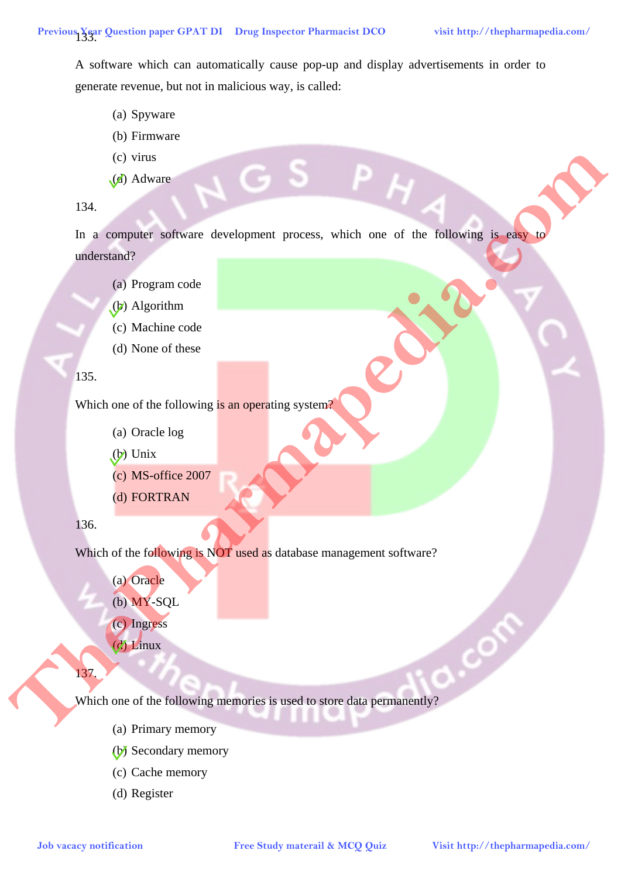A software which can automatically cause pop-up and display advertisements in order to generate revenue, but not in malicious way, is called:

- (a) Spyware
- (b) Firmware
- (c) virus
- (d) Adware

## 134.

In a computer software development process, which one of the following is easy to understand? **Job vacacy notification Free Study material and the Collection**<br> **Job Reporting is an operating system of the Collection**<br> **Job Studies Collection**<br> **Job Vacacine Collection**<br> **Job Visit http://therefore.com/ Contrib** 

- (a) Program code
- (b) Algorithm
- (c) Machine code
- (d) None of these

#### 135.

Which one of the following is an operating system?

- (a) Oracle log
- $(b)$  Unix
- (c) MS-office 2007
- (d) FORTRAN

#### 136.

Which of the following is NOT used as database management software?

(a) Oracle

- (b) MY-SQL
- (c) Ingress
- (d) Linux

137.

Which one of the following memories is used to store data permanently?

- (a) Primary memory
- (b) Secondary memory
- (c) Cache memory
- (d) Register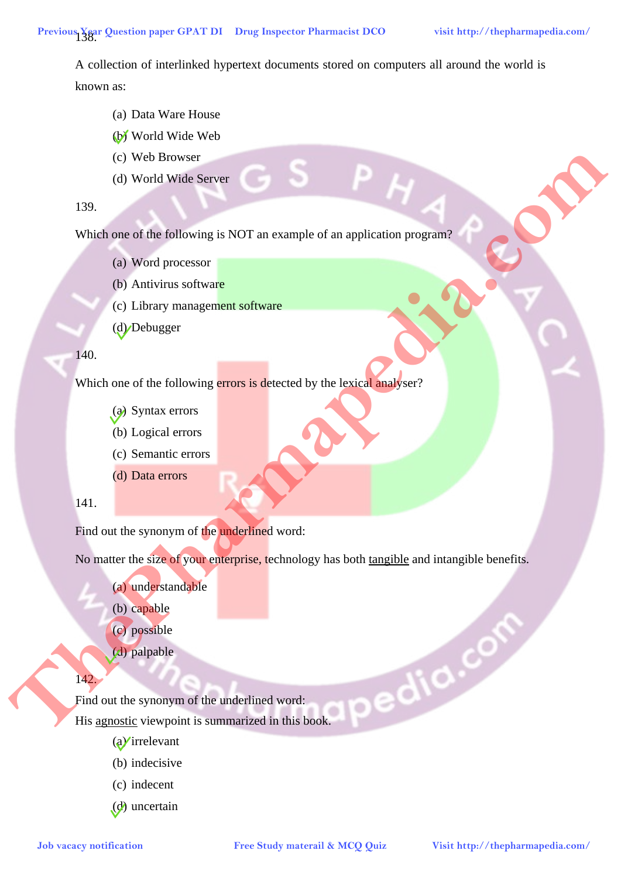A collection of interlinked hypertext documents stored on computers all around the world is known as:

- (a) Data Ware House
- (b) World Wide Web
- (c) Web Browser
- (d) World Wide Server

139.

Which one of the following is NOT an example of an application program?

- (a) Word processor
- (b) Antivirus software
- (c) Library management software
- (d) Debugger

#### 140.

Which one of the following errors is detected by the lexical analyser?

- (a) Syntax errors
- (b) Logical errors
- (c) Semantic errors
- (d) Data errors

# 141.

Find out the synonym of the underlined word:

No matter the size of your enterprise, technology has both tangible and intangible benefits.

- (a) understandable
- (b) capable
- (c) possible
- (d) palpable

# 142.

Find out the synonym of the underlined word: His agnostic viewpoint is summarized in this book. **Job vacacy and the following in NOT an example of an application program**<br> **Job vacable one of the following entry is detected by the lead and spin series**<br> **CO** Division material surface and the pharmapedia of an exampl

- $(a)$ irrelevant
- (b) indecisive
- (c) indecent
- (d) uncertain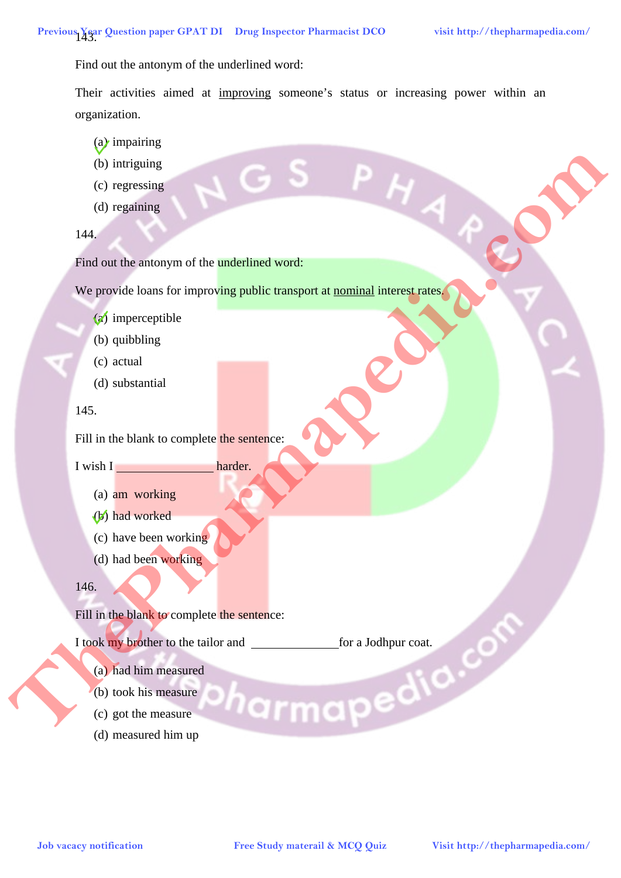Find out the antonym of the underlined word:

Their activities aimed at improving someone's status or increasing power within an organization.

- (a) impairing
- (b) intriguing
- (c) regressing
- (d) regaining

144.

Find out the antonym of the **underlined word:** 

We provide loans for improving public transport at nominal interest rates.

- (a) imperceptible
- (b) quibbling
- (c) actual
- (d) substantial

#### 145.

Fill in the blank to complete the sentence:

I wish I harder.

- 
- (a) am working
- (b) had worked
- (c) have been working
- (d) had been working

#### 146.

Fill in the blank to complete the sentence:

I took my brother to the tailor and for a Jodhpur coat.<br>
(a) had him measure<br>
(b) took his measure<br>
(c) got the measure<br>
(d) measured him up **Job vacacing**<br> **Congressions**<br> **Congressions**<br> **Historic attack comodomic problem transport of an anti-problem transport of an anti-problem transport of an anti-problem transport of an anti-problem of the problem transpor** 

- (a) had him measured
- (b) took his measure
- (c) got the measure
- (d) measured him up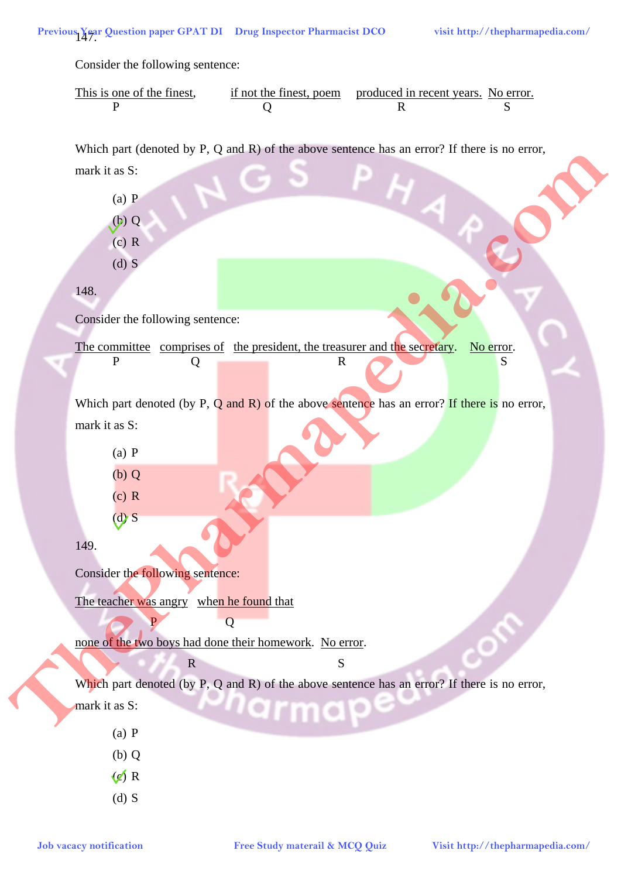Consider the following sentence:

| This is one of the finest, | if not the finest, poem produced in recent years. No error. |  |
|----------------------------|-------------------------------------------------------------|--|
|                            |                                                             |  |

Which part (denoted by P, Q and R) of the above sentence has an error? If there is no error,

mark it as S:

(a) P

(b) Q (c) R

(d) S

148.

Consider the following sentence:

The committee comprises of the president, the treasurer and the secretary. No error. P Q R S

Which part denoted (by P,  $Q$  and  $R$ ) of the above sentence has an error? If there is no error, mark it as S: **However the control of the CONSTRANT CONTRANT CONTRANT CONTRANT CONTRANT CONTRANT CONTRANT CONTRANT CONTRANT CONTRANT CONTRANT CONTRANT CONTRANT CONTRANT CONTRANT CONTRANT CONTRANT CONTRANT CONTRANT CONTRANT CONTRANT CON** 

(a) P  $(b)$   $O$ (c) R  $(d)$  S

149.

Consider the following sentence:

P Q

The teacher was angry when he found that

none of the two boys had done their homework. No error.

**R** S

Which part denoted (by P, Q and R) of the above sentence has an error? If there is no error,

mark it as S:

- (a) P
- (b) Q
- $\langle \ell \rangle$  R
- (d) S